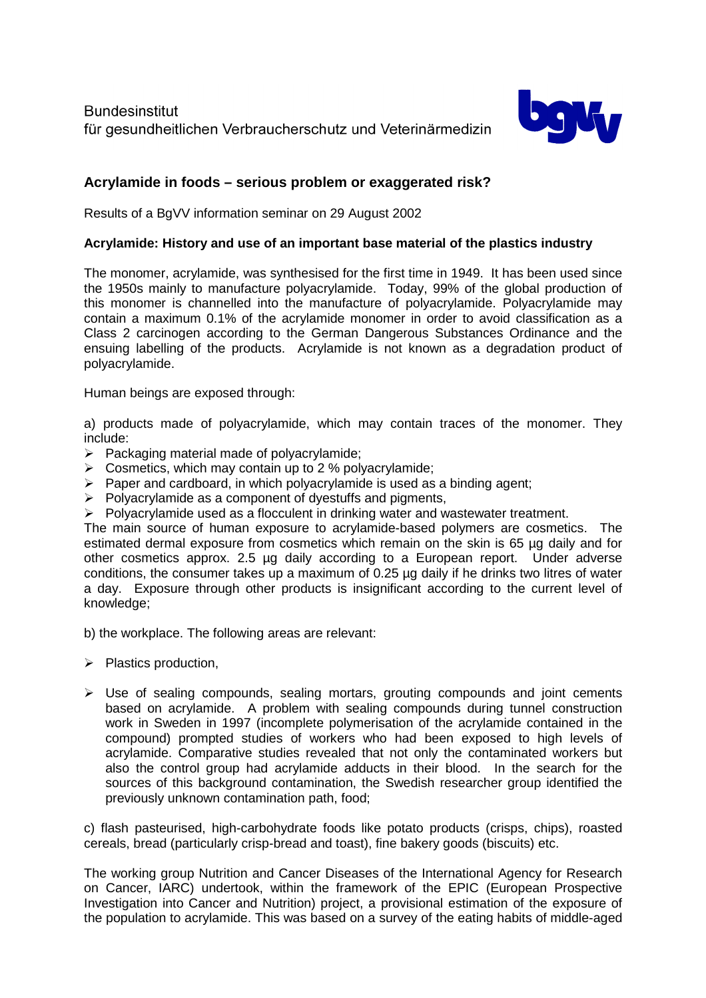

# **Acrylamide in foods – serious problem or exaggerated risk?**

Results of a BgVV information seminar on 29 August 2002

## **Acrylamide: History and use of an important base material of the plastics industry**

The monomer, acrylamide, was synthesised for the first time in 1949. It has been used since the 1950s mainly to manufacture polyacrylamide. Today, 99% of the global production of this monomer is channelled into the manufacture of polyacrylamide. Polyacrylamide may contain a maximum 0.1% of the acrylamide monomer in order to avoid classification as a Class 2 carcinogen according to the German Dangerous Substances Ordinance and the ensuing labelling of the products. Acrylamide is not known as a degradation product of polyacrylamide.

Human beings are exposed through:

a) products made of polyacrylamide, which may contain traces of the monomer. They include:

- $\triangleright$  Packaging material made of polyacrylamide;
- $\triangleright$  Cosmetics, which may contain up to 2 % polyacrylamide;
- $\triangleright$  Paper and cardboard, in which polyacrylamide is used as a binding agent;
- $\triangleright$  Polyacrylamide as a component of dyestuffs and pigments,
- $\triangleright$  Polyacrylamide used as a flocculent in drinking water and wastewater treatment.

The main source of human exposure to acrylamide-based polymers are cosmetics. The estimated dermal exposure from cosmetics which remain on the skin is 65 µg daily and for other cosmetics approx. 2.5 µg daily according to a European report. Under adverse conditions, the consumer takes up a maximum of 0.25 µg daily if he drinks two litres of water a day. Exposure through other products is insignificant according to the current level of knowledge;

b) the workplace. The following areas are relevant:

- $\triangleright$  Plastics production,
- $\triangleright$  Use of sealing compounds, sealing mortars, grouting compounds and joint cements based on acrylamide. A problem with sealing compounds during tunnel construction work in Sweden in 1997 (incomplete polymerisation of the acrylamide contained in the compound) prompted studies of workers who had been exposed to high levels of acrylamide. Comparative studies revealed that not only the contaminated workers but also the control group had acrylamide adducts in their blood. In the search for the sources of this background contamination, the Swedish researcher group identified the previously unknown contamination path, food;

c) flash pasteurised, high-carbohydrate foods like potato products (crisps, chips), roasted cereals, bread (particularly crisp-bread and toast), fine bakery goods (biscuits) etc.

The working group Nutrition and Cancer Diseases of the International Agency for Research on Cancer, IARC) undertook, within the framework of the EPIC (European Prospective Investigation into Cancer and Nutrition) project, a provisional estimation of the exposure of the population to acrylamide. This was based on a survey of the eating habits of middle-aged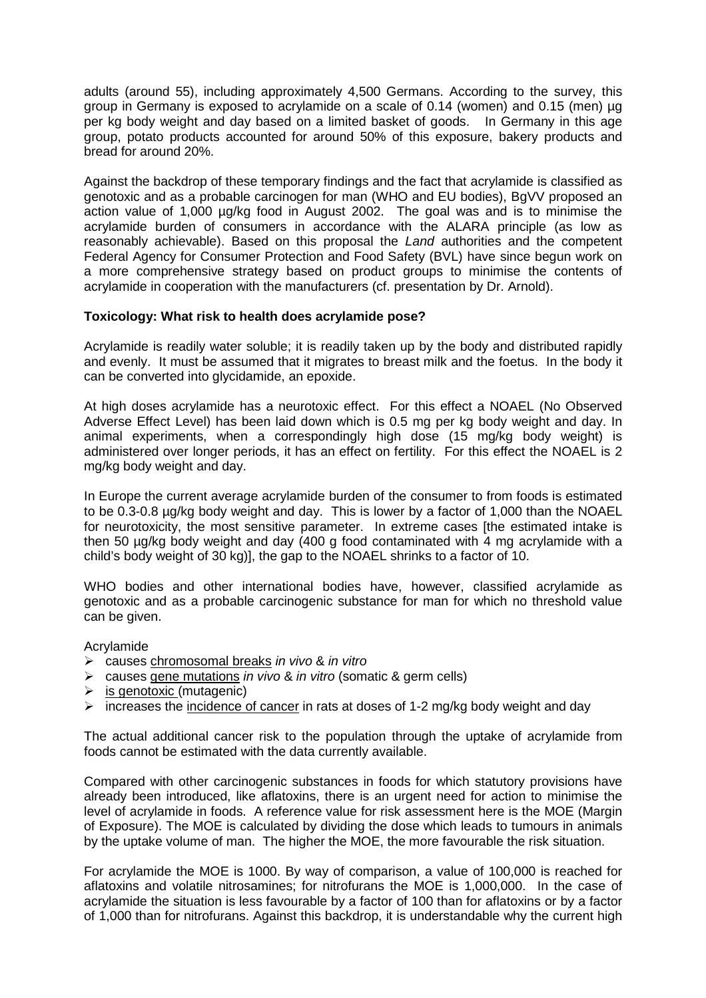adults (around 55), including approximately 4,500 Germans. According to the survey, this group in Germany is exposed to acrylamide on a scale of 0.14 (women) and 0.15 (men) µg per kg body weight and day based on a limited basket of goods. In Germany in this age group, potato products accounted for around 50% of this exposure, bakery products and bread for around 20%.

Against the backdrop of these temporary findings and the fact that acrylamide is classified as genotoxic and as a probable carcinogen for man (WHO and EU bodies), BgVV proposed an action value of 1,000 µg/kg food in August 2002. The goal was and is to minimise the acrylamide burden of consumers in accordance with the ALARA principle (as low as reasonably achievable). Based on this proposal the *Land* authorities and the competent Federal Agency for Consumer Protection and Food Safety (BVL) have since begun work on a more comprehensive strategy based on product groups to minimise the contents of acrylamide in cooperation with the manufacturers (cf. presentation by Dr. Arnold).

### **Toxicology: What risk to health does acrylamide pose?**

Acrylamide is readily water soluble; it is readily taken up by the body and distributed rapidly and evenly. It must be assumed that it migrates to breast milk and the foetus. In the body it can be converted into glycidamide, an epoxide.

At high doses acrylamide has a neurotoxic effect. For this effect a NOAEL (No Observed Adverse Effect Level) has been laid down which is 0.5 mg per kg body weight and day. In animal experiments, when a correspondingly high dose (15 mg/kg body weight) is administered over longer periods, it has an effect on fertility. For this effect the NOAEL is 2 mg/kg body weight and day.

In Europe the current average acrylamide burden of the consumer to from foods is estimated to be 0.3-0.8 µg/kg body weight and day. This is lower by a factor of 1,000 than the NOAEL for neurotoxicity, the most sensitive parameter. In extreme cases [the estimated intake is then 50 ug/kg body weight and day (400 g food contaminated with 4 mg acrylamide with a child's body weight of 30 kg)], the gap to the NOAEL shrinks to a factor of 10.

WHO bodies and other international bodies have, however, classified acrylamide as genotoxic and as a probable carcinogenic substance for man for which no threshold value can be given.

Acrylamide

- causes chromosomal breaks *in vivo* & *in vitro*
- causes gene mutations *in vivo* & *in vitro* (somatic & germ cells)
- $\triangleright$  is genotoxic (mutagenic)
- $\triangleright$  increases the incidence of cancer in rats at doses of 1-2 mg/kg body weight and day

The actual additional cancer risk to the population through the uptake of acrylamide from foods cannot be estimated with the data currently available.

Compared with other carcinogenic substances in foods for which statutory provisions have already been introduced, like aflatoxins, there is an urgent need for action to minimise the level of acrylamide in foods. A reference value for risk assessment here is the MOE (Margin of Exposure). The MOE is calculated by dividing the dose which leads to tumours in animals by the uptake volume of man. The higher the MOE, the more favourable the risk situation.

For acrylamide the MOE is 1000. By way of comparison, a value of 100,000 is reached for aflatoxins and volatile nitrosamines; for nitrofurans the MOE is 1,000,000. In the case of acrylamide the situation is less favourable by a factor of 100 than for aflatoxins or by a factor of 1,000 than for nitrofurans. Against this backdrop, it is understandable why the current high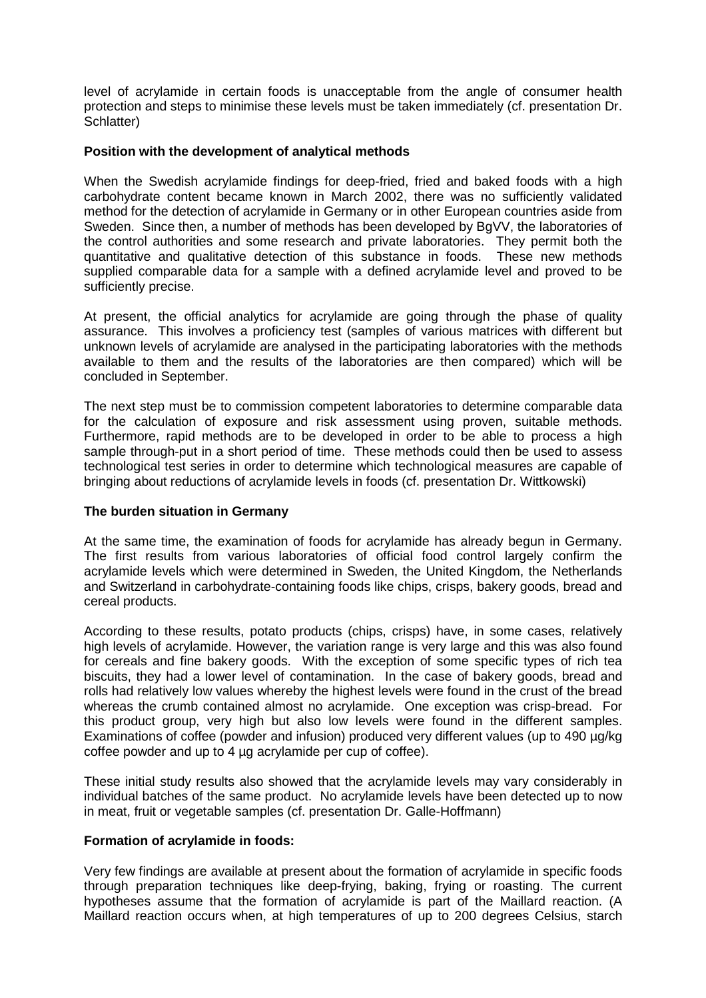level of acrylamide in certain foods is unacceptable from the angle of consumer health protection and steps to minimise these levels must be taken immediately (cf. presentation Dr. Schlatter)

#### **Position with the development of analytical methods**

When the Swedish acrylamide findings for deep-fried, fried and baked foods with a high carbohydrate content became known in March 2002, there was no sufficiently validated method for the detection of acrylamide in Germany or in other European countries aside from Sweden. Since then, a number of methods has been developed by BgVV, the laboratories of the control authorities and some research and private laboratories. They permit both the quantitative and qualitative detection of this substance in foods. These new methods supplied comparable data for a sample with a defined acrylamide level and proved to be sufficiently precise.

At present, the official analytics for acrylamide are going through the phase of quality assurance. This involves a proficiency test (samples of various matrices with different but unknown levels of acrylamide are analysed in the participating laboratories with the methods available to them and the results of the laboratories are then compared) which will be concluded in September.

The next step must be to commission competent laboratories to determine comparable data for the calculation of exposure and risk assessment using proven, suitable methods. Furthermore, rapid methods are to be developed in order to be able to process a high sample through-put in a short period of time. These methods could then be used to assess technological test series in order to determine which technological measures are capable of bringing about reductions of acrylamide levels in foods (cf. presentation Dr. Wittkowski)

### **The burden situation in Germany**

At the same time, the examination of foods for acrylamide has already begun in Germany. The first results from various laboratories of official food control largely confirm the acrylamide levels which were determined in Sweden, the United Kingdom, the Netherlands and Switzerland in carbohydrate-containing foods like chips, crisps, bakery goods, bread and cereal products.

According to these results, potato products (chips, crisps) have, in some cases, relatively high levels of acrylamide. However, the variation range is very large and this was also found for cereals and fine bakery goods. With the exception of some specific types of rich tea biscuits, they had a lower level of contamination. In the case of bakery goods, bread and rolls had relatively low values whereby the highest levels were found in the crust of the bread whereas the crumb contained almost no acrylamide. One exception was crisp-bread. For this product group, very high but also low levels were found in the different samples. Examinations of coffee (powder and infusion) produced very different values (up to 490 µg/kg coffee powder and up to 4 µg acrylamide per cup of coffee).

These initial study results also showed that the acrylamide levels may vary considerably in individual batches of the same product. No acrylamide levels have been detected up to now in meat, fruit or vegetable samples (cf. presentation Dr. Galle-Hoffmann)

#### **Formation of acrylamide in foods:**

Very few findings are available at present about the formation of acrylamide in specific foods through preparation techniques like deep-frying, baking, frying or roasting. The current hypotheses assume that the formation of acrylamide is part of the Maillard reaction. (A Maillard reaction occurs when, at high temperatures of up to 200 degrees Celsius, starch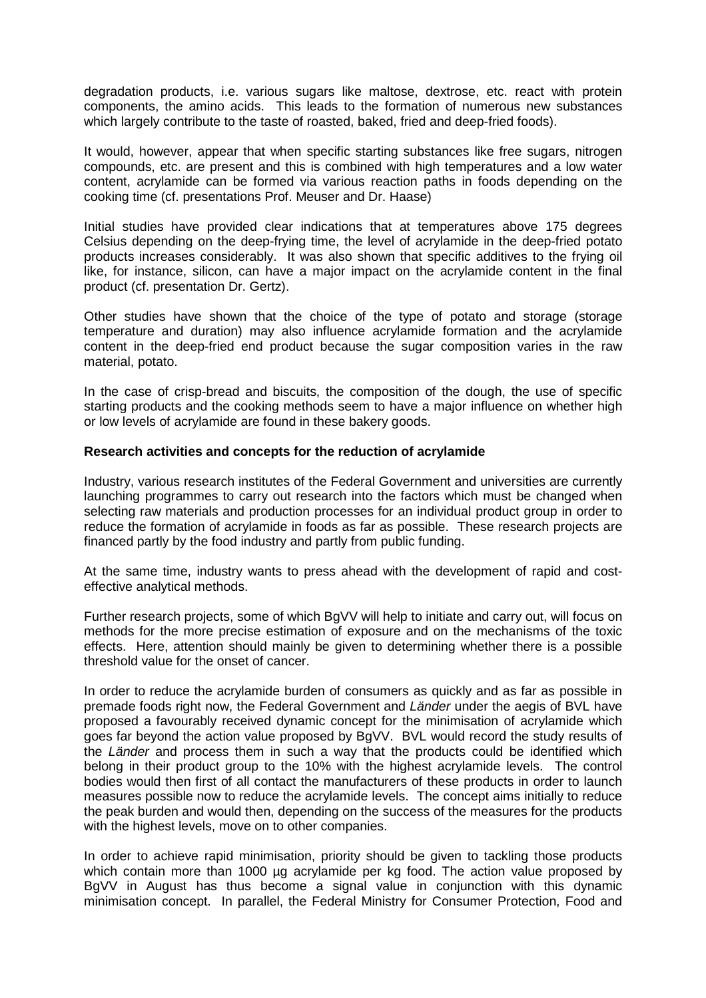degradation products, i.e. various sugars like maltose, dextrose, etc. react with protein components, the amino acids. This leads to the formation of numerous new substances which largely contribute to the taste of roasted, baked, fried and deep-fried foods).

It would, however, appear that when specific starting substances like free sugars, nitrogen compounds, etc. are present and this is combined with high temperatures and a low water content, acrylamide can be formed via various reaction paths in foods depending on the cooking time (cf. presentations Prof. Meuser and Dr. Haase)

Initial studies have provided clear indications that at temperatures above 175 degrees Celsius depending on the deep-frying time, the level of acrylamide in the deep-fried potato products increases considerably. It was also shown that specific additives to the frying oil like, for instance, silicon, can have a major impact on the acrylamide content in the final product (cf. presentation Dr. Gertz).

Other studies have shown that the choice of the type of potato and storage (storage temperature and duration) may also influence acrylamide formation and the acrylamide content in the deep-fried end product because the sugar composition varies in the raw material, potato.

In the case of crisp-bread and biscuits, the composition of the dough, the use of specific starting products and the cooking methods seem to have a major influence on whether high or low levels of acrylamide are found in these bakery goods.

#### **Research activities and concepts for the reduction of acrylamide**

Industry, various research institutes of the Federal Government and universities are currently launching programmes to carry out research into the factors which must be changed when selecting raw materials and production processes for an individual product group in order to reduce the formation of acrylamide in foods as far as possible. These research projects are financed partly by the food industry and partly from public funding.

At the same time, industry wants to press ahead with the development of rapid and costeffective analytical methods.

Further research projects, some of which BgVV will help to initiate and carry out, will focus on methods for the more precise estimation of exposure and on the mechanisms of the toxic effects. Here, attention should mainly be given to determining whether there is a possible threshold value for the onset of cancer.

In order to reduce the acrylamide burden of consumers as quickly and as far as possible in premade foods right now, the Federal Government and *Länder* under the aegis of BVL have proposed a favourably received dynamic concept for the minimisation of acrylamide which goes far beyond the action value proposed by BgVV. BVL would record the study results of the *Länder* and process them in such a way that the products could be identified which belong in their product group to the 10% with the highest acrylamide levels. The control bodies would then first of all contact the manufacturers of these products in order to launch measures possible now to reduce the acrylamide levels. The concept aims initially to reduce the peak burden and would then, depending on the success of the measures for the products with the highest levels, move on to other companies.

In order to achieve rapid minimisation, priority should be given to tackling those products which contain more than 1000 µg acrylamide per kg food. The action value proposed by BgVV in August has thus become a signal value in conjunction with this dynamic minimisation concept. In parallel, the Federal Ministry for Consumer Protection, Food and